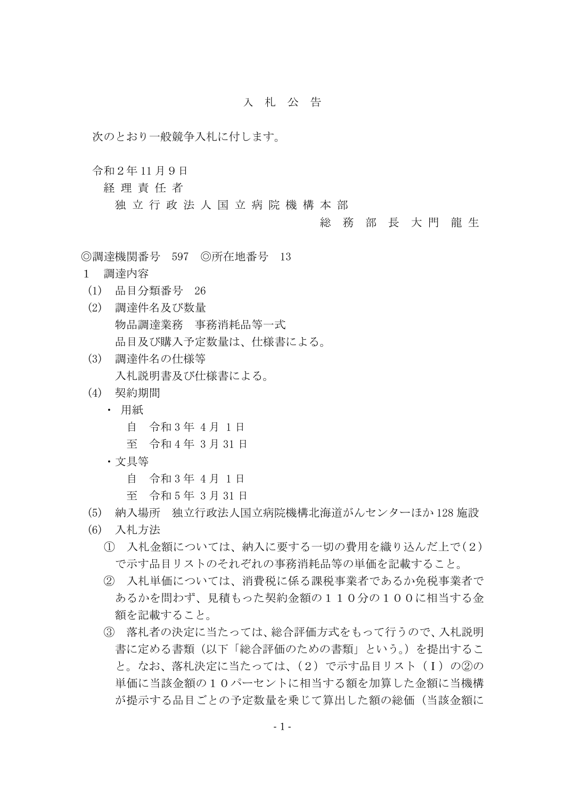## 入 札 公 告

次のとおり一般競争入札に付します。

令和2年 11 月9日

経 理 責 任 者

独 立 行 政 法 人 国 立 病 院 機 構 本 部

## 総 務 部 長 大 門 龍 生

◎調達機関番号 597 ◎所在地番号 13

- 1 調達内容
- (1) 品目分類番号 26
- (2) 調達件名及び数量 物品調達業務 事務消耗品等一式 品目及び購入予定数量は、仕様書による。
- (3) 調達件名の仕様等 入札説明書及び仕様書による。
- (4) 契約期間
	- ・ 用紙
		- 自 令和 3 年 4 月 1 日
		- 至 令和 4 年 3 月 31 日
	- ・文具等

自 令和 3 年 4 月 1 日

- 至 令和 5 年 3 月 31 日
- (5) 納入場所 独立行政法人国立病院機構北海道がんセンターほか 128 施設
- (6) 入札方法
	- ① 入札金額については、納入に要する一切の費用を織り込んだ上で(2) で示す品目リストのそれぞれの事務消耗品等の単価を記載すること。
	- ② 入札単価については、消費税に係る課税事業者であるか免税事業者で あるかを問わず、見積もった契約金額の110分の100に相当する金 額を記載すること。
	- ③ 落札者の決定に当たっては、総合評価方式をもって行うので、入札説明 書に定める書類(以下「総合評価のための書類」という。)を提出するこ と。なお、落札決定に当たっては、(2)で示す品目リスト(Ⅰ)の②の 単価に当該金額の10パーセントに相当する額を加算した金額に当機構 が提示する品目ごとの予定数量を乗じて算出した額の総価(当該金額に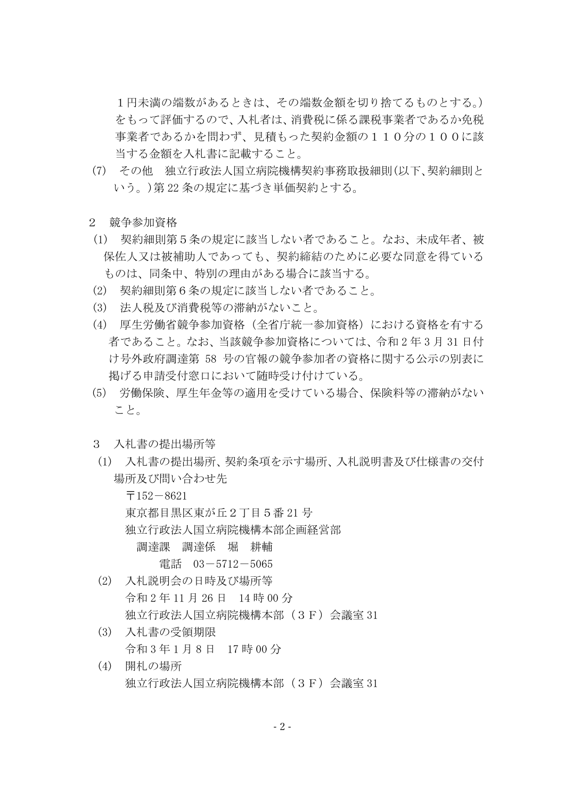1円未満の端数があるときは、その端数金額を切り捨てるものとする。) をもって評価するので、入札者は、消費税に係る課税事業者であるか免税 事業者であるかを問わず、見積もった契約金額の110分の100に該 当する金額を入札書に記載すること。

- (7) その他 独立行政法人国立病院機構契約事務取扱細則(以下、契約細則と いう。)第 22 条の規定に基づき単価契約とする。
- 2 競争参加資格
- (1) 契約細則第5条の規定に該当しない者であること。なお、未成年者、被 保佐人又は被補助人であっても、契約締結のために必要な同意を得ている ものは、同条中、特別の理由がある場合に該当する。
- (2) 契約細則第6条の規定に該当しない者であること。
- (3) 法人税及び消費税等の滞納がないこと。
- (4) 厚生労働省競争参加資格(全省庁統一参加資格)における資格を有する 者であること。なお、当該競争参加資格については、令和 2 年 3 月 31 日付 け号外政府調達第 58 号の官報の競争参加者の資格に関する公示の別表に 掲げる申請受付窓口において随時受け付けている。
- (5) 労働保険、厚生年金等の適用を受けている場合、保険料等の滞納がない こと。
- 3 入札書の提出場所等
- (1) 入札書の提出場所、契約条項を示す場所、入札説明書及び仕様書の交付 場所及び問い合わせ先

 $\overline{\tau}$ 152-8621 東京都目黒区東が丘2丁目5番 21 号 独立行政法人国立病院機構本部企画経営部 調達課 調達係 堀 耕輔 電話 03-5712-5065

- (2) 入札説明会の日時及び場所等 令和 2 年 11 月 26 日 14 時 00 分 独立行政法人国立病院機構本部(3F)会議室 31
- (3) 入札書の受領期限 令和 3 年 1 月 8 日 17 時 00 分
- (4) 開札の場所 独立行政法人国立病院機構本部(3F)会議室 31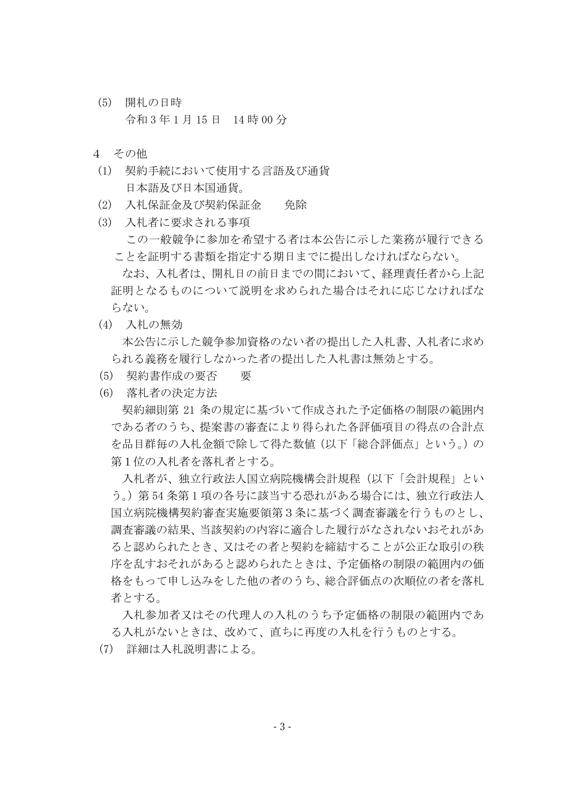- (5) 開札の日時 令和 3 年 1 月 15 日 14 時 00 分
- 4 その他
- (1) 契約手続において使用する言語及び通貨 日本語及び日本国通貨。
- (2) 入札保証金及び契約保証金 免除
- (3) 入札者に要求される事項 この一般競争に参加を希望する者は本公告に示した業務が履行できる ことを証明する書類を指定する期日までに提出しなければならない。 なお、入札者は、開札日の前日までの間において、経理責任者から上記 証明となるものについて説明を求められた場合はそれに応じなければな らない。
- (4) 入札の無効 本公告に示した競争参加資格のない者の提出した入札書、入札者に求め られる義務を履行しなかった者の提出した入札書は無効とする。
- (5) 契約書作成の要否 要
- (6) 落札者の決定方法

契約細則第 21 条の規定に基づいて作成された予定価格の制限の範囲内 である者のうち、提案書の審査により得られた各評価項目の得点の合計点 を品目群毎の入札金額で除して得た数値(以下「総合評価点」という。)の 第1位の入札者を落札者とする。

入札者が、独立行政法人国立病院機構会計規程(以下「会計規程」とい う。)第 54 条第 1 項の各号に該当する恐れがある場合には、独立行政法人 国立病院機構契約審査実施要領第3条に基づく調査審議を行うものとし、 調査審議の結果、当該契約の内容に適合した履行がなされないおそれがあ ると認められたとき、又はその者と契約を締結することが公正な取引の秩 序を乱すおそれがあると認められたときは、予定価格の制限の範囲内の価 格をもって申し込みをした他の者のうち、総合評価点の次順位の者を落札 者とする。

入札参加者又はその代理人の入札のうち予定価格の制限の範囲内であ る入札がないときは、改めて、直ちに再度の入札を行うものとする。

(7) 詳細は入札説明書による。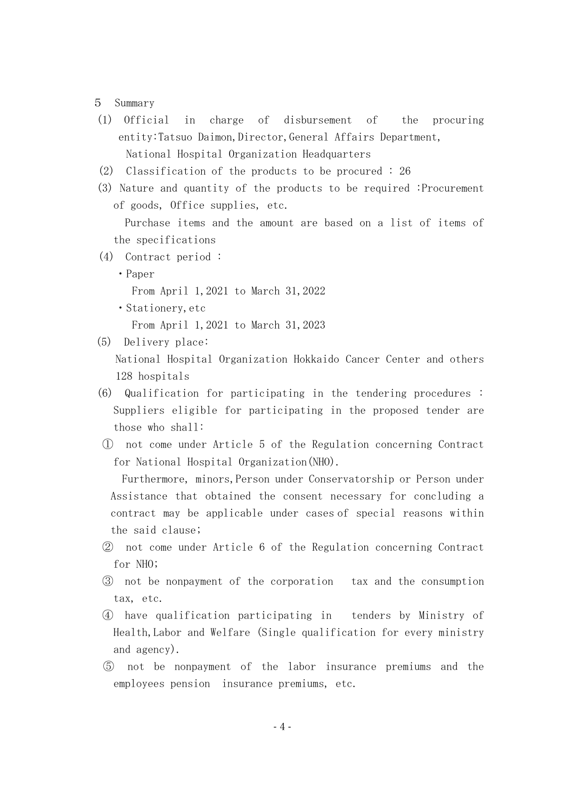## 5 Summary

- (1) Official in charge of disbursement of the procuring entity:Tatsuo Daimon, Director, General Affairs Department, National Hospital Organization Headquarters
- (2) Classification of the products to be procured : 26
- (3) Nature and quantity of the products to be required :Procurement of goods, Office supplies, etc.

 Purchase items and the amount are based on a list of items of the specifications

- (4) Contract period :
	- ・Paper

From April 1,2021 to March 31,2022

・Stationery,etc

From April 1,2021 to March 31,2023

(5) Delivery place:

National Hospital Organization Hokkaido Cancer Center and others 128 hospitals

- (6) Qualification for participating in the tendering procedures : Suppliers eligible for participating in the proposed tender are those who shall:
- ① not come under Article 5 of the Regulation concerning Contract for National Hospital Organization(NHO).

Furthermore, minors,Person under Conservatorship or Person under Assistance that obtained the consent necessary for concluding a contract may be applicable under cases of special reasons within the said clause;

- ② not come under Article 6 of the Regulation concerning Contract for NHO;
- ③ not be nonpayment of the corporation tax and the consumption tax, etc.
- ④ have qualification participating in tenders by Ministry of Health,Labor and Welfare (Single qualification for every ministry and agency).
- ⑤ not be nonpayment of the labor insurance premiums and the employees pension insurance premiums, etc.